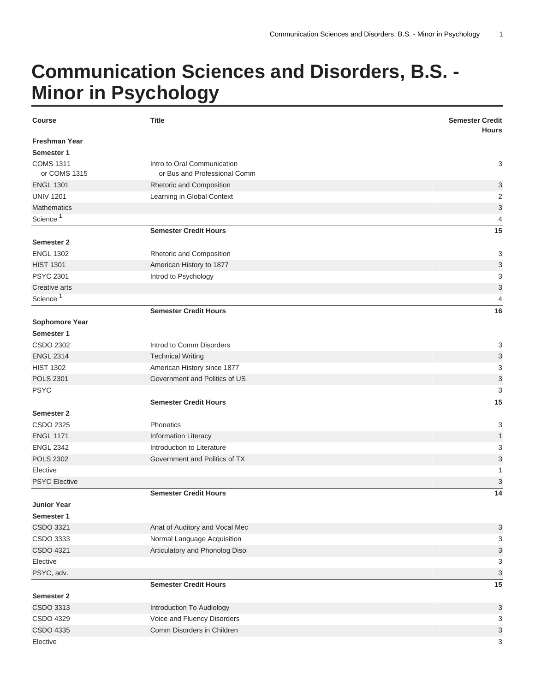## **Communication Sciences and Disorders, B.S. - Minor in Psychology**

| <b>Course</b>        | <b>Title</b>                   | <b>Semester Credit</b><br><b>Hours</b> |
|----------------------|--------------------------------|----------------------------------------|
| <b>Freshman Year</b> |                                |                                        |
| Semester 1           |                                |                                        |
| <b>COMS 1311</b>     | Intro to Oral Communication    | 3                                      |
| or COMS 1315         | or Bus and Professional Comm   |                                        |
| <b>ENGL 1301</b>     | Rhetoric and Composition       | 3                                      |
| <b>UNIV 1201</b>     | Learning in Global Context     | $\overline{2}$                         |
| <b>Mathematics</b>   |                                | $\ensuremath{\mathsf{3}}$              |
| Science <sup>1</sup> |                                | $\overline{4}$                         |
|                      | <b>Semester Credit Hours</b>   | 15                                     |
| <b>Semester 2</b>    |                                |                                        |
| <b>ENGL 1302</b>     | Rhetoric and Composition       | 3                                      |
| <b>HIST 1301</b>     | American History to 1877       | 3                                      |
| <b>PSYC 2301</b>     | Introd to Psychology           | 3                                      |
| Creative arts        |                                | $\mathsf 3$                            |
| Science <sup>1</sup> |                                | $\overline{4}$                         |
|                      | <b>Semester Credit Hours</b>   | 16                                     |
| Sophomore Year       |                                |                                        |
| Semester 1           |                                |                                        |
| CSDO 2302            | Introd to Comm Disorders       | 3                                      |
| <b>ENGL 2314</b>     | <b>Technical Writing</b>       | 3                                      |
| <b>HIST 1302</b>     | American History since 1877    | 3                                      |
| <b>POLS 2301</b>     | Government and Politics of US  | 3                                      |
| <b>PSYC</b>          |                                | 3                                      |
|                      | <b>Semester Credit Hours</b>   | 15                                     |
| <b>Semester 2</b>    |                                |                                        |
| CSDO 2325            | Phonetics                      | 3                                      |
| <b>ENGL 1171</b>     | <b>Information Literacy</b>    | $\mathbf{1}$                           |
| <b>ENGL 2342</b>     | Introduction to Literature     | 3                                      |
| <b>POLS 2302</b>     | Government and Politics of TX  | 3                                      |
| Elective             |                                | 1                                      |
| <b>PSYC Elective</b> |                                | 3                                      |
|                      | <b>Semester Credit Hours</b>   | 14                                     |
| <b>Junior Year</b>   |                                |                                        |
| Semester 1           |                                |                                        |
| CSDO 3321            | Anat of Auditory and Vocal Mec | 3                                      |
| CSDO 3333            | Normal Language Acquisition    | 3                                      |
| CSDO 4321            | Articulatory and Phonolog Diso | 3                                      |
| Elective             |                                | 3                                      |
| PSYC, adv.           |                                | $\ensuremath{\mathsf{3}}$              |
|                      | <b>Semester Credit Hours</b>   | 15                                     |
| Semester 2           |                                |                                        |
| CSDO 3313            | Introduction To Audiology      | $\ensuremath{\mathsf{3}}$              |
| CSDO 4329            | Voice and Fluency Disorders    | 3                                      |
| CSDO 4335            | Comm Disorders in Children     | 3                                      |
| Elective             |                                | 3                                      |